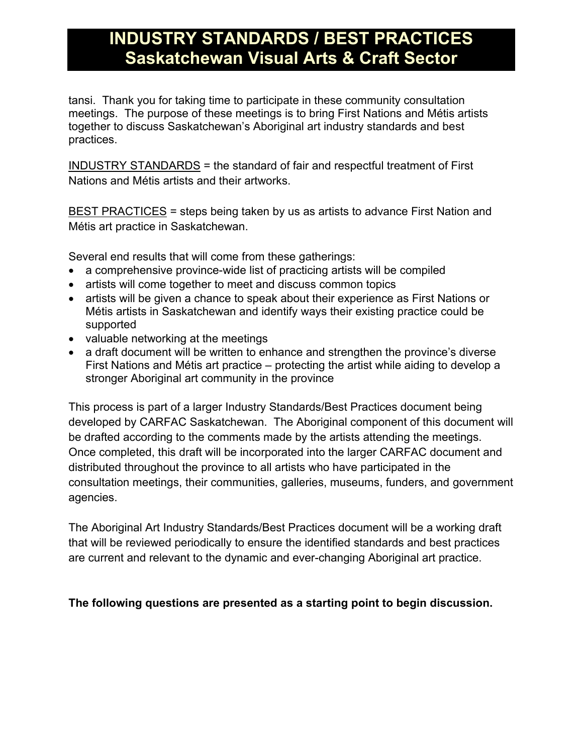# **INDUSTRY STANDARDS / BEST PRACTICES Saskatchewan Visual Arts & Craft Sector**

tansi. Thank you for taking time to participate in these community consultation meetings. The purpose of these meetings is to bring First Nations and Métis artists together to discuss Saskatchewan's Aboriginal art industry standards and best practices.

INDUSTRY STANDARDS = the standard of fair and respectful treatment of First Nations and Métis artists and their artworks.

BEST PRACTICES = steps being taken by us as artists to advance First Nation and Métis art practice in Saskatchewan.

Several end results that will come from these gatherings:

- a comprehensive province-wide list of practicing artists will be compiled
- artists will come together to meet and discuss common topics
- artists will be given a chance to speak about their experience as First Nations or Métis artists in Saskatchewan and identify ways their existing practice could be supported
- valuable networking at the meetings
- a draft document will be written to enhance and strengthen the province's diverse First Nations and Métis art practice – protecting the artist while aiding to develop a stronger Aboriginal art community in the province

This process is part of a larger Industry Standards/Best Practices document being developed by CARFAC Saskatchewan. The Aboriginal component of this document will be drafted according to the comments made by the artists attending the meetings. Once completed, this draft will be incorporated into the larger CARFAC document and distributed throughout the province to all artists who have participated in the consultation meetings, their communities, galleries, museums, funders, and government agencies.

The Aboriginal Art Industry Standards/Best Practices document will be a working draft that will be reviewed periodically to ensure the identified standards and best practices are current and relevant to the dynamic and ever-changing Aboriginal art practice.

### **The following questions are presented as a starting point to begin discussion.**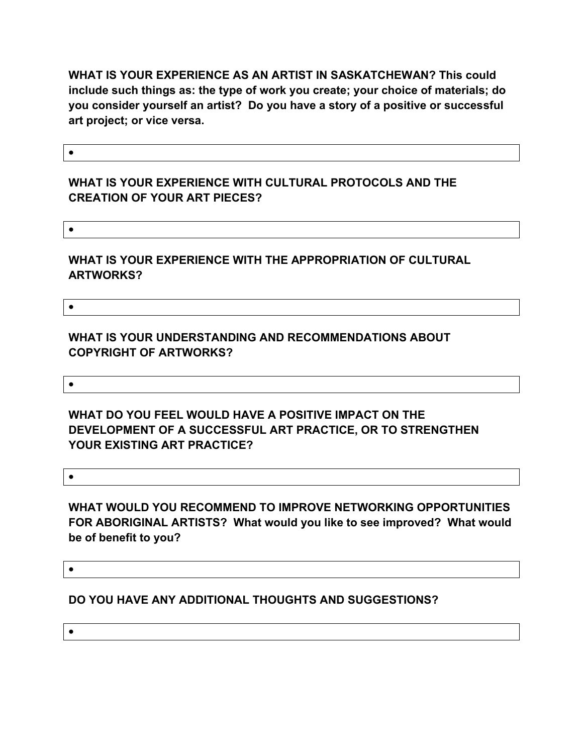**WHAT IS YOUR EXPERIENCE AS AN ARTIST IN SASKATCHEWAN? This could include such things as: the type of work you create; your choice of materials; do you consider yourself an artist? Do you have a story of a positive or successful art project; or vice versa.**

 $\bullet$ 

#### **WHAT IS YOUR EXPERIENCE WITH CULTURAL PROTOCOLS AND THE CREATION OF YOUR ART PIECES?**

 $\bullet$ 

#### **WHAT IS YOUR EXPERIENCE WITH THE APPROPRIATION OF CULTURAL ARTWORKS?**

 $\bullet$ 

 $\bullet$ 

**WHAT IS YOUR UNDERSTANDING AND RECOMMENDATIONS ABOUT COPYRIGHT OF ARTWORKS?**

**WHAT DO YOU FEEL WOULD HAVE A POSITIVE IMPACT ON THE DEVELOPMENT OF A SUCCESSFUL ART PRACTICE, OR TO STRENGTHEN YOUR EXISTING ART PRACTICE?**

 $\bullet$ 

**WHAT WOULD YOU RECOMMEND TO IMPROVE NETWORKING OPPORTUNITIES FOR ABORIGINAL ARTISTS? What would you like to see improved? What would be of benefit to you?**

 $\bullet$ 

**DO YOU HAVE ANY ADDITIONAL THOUGHTS AND SUGGESTIONS?**

 $\bullet$